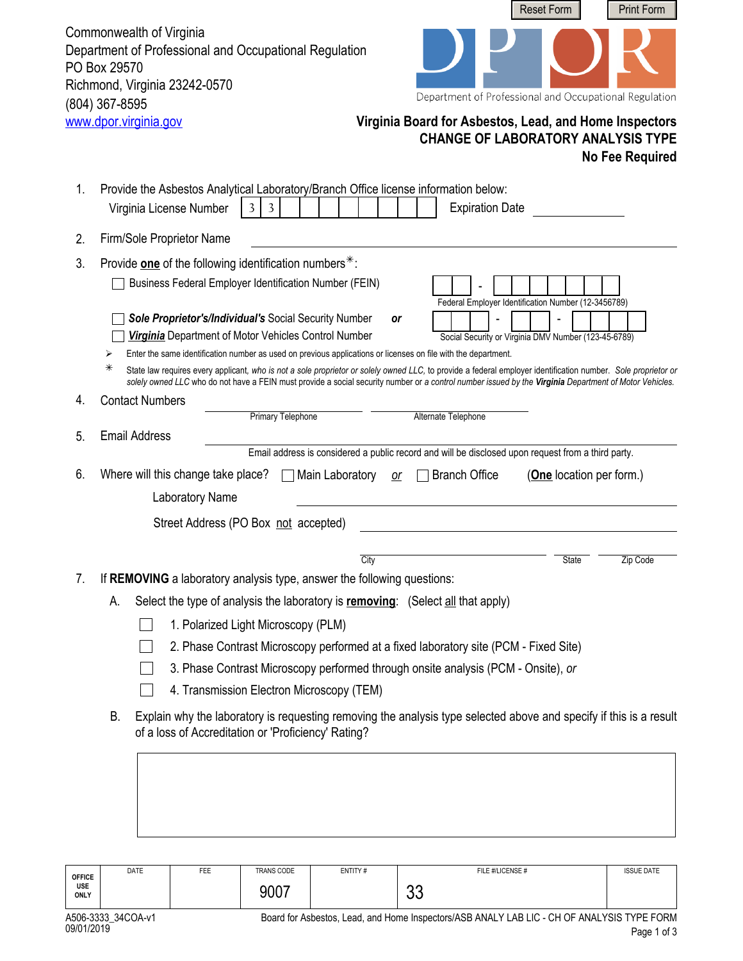Commonwealth of Virginia Department of Professional and Occupational Regulation PO Box 29570 Richmond, Virginia 23242-0570 (804) 367-8595<br>www.dpor.virginia.gov



Department of Professional and Occupational Regulation

## **Virginia Board for Asbestos, Lead, and Home Inspectors CHANGE OF LABORATORY ANALYSIS TYPE No Fee Required**

| 1.                                                                                                                                                                              | Provide the Asbestos Analytical Laboratory/Branch Office license information below:                                                                                                                                                                                                                                          |  |  |  |  |  |  |  |
|---------------------------------------------------------------------------------------------------------------------------------------------------------------------------------|------------------------------------------------------------------------------------------------------------------------------------------------------------------------------------------------------------------------------------------------------------------------------------------------------------------------------|--|--|--|--|--|--|--|
|                                                                                                                                                                                 | <b>Expiration Date</b><br>Virginia License Number<br>3<br>3                                                                                                                                                                                                                                                                  |  |  |  |  |  |  |  |
| 2.                                                                                                                                                                              | Firm/Sole Proprietor Name                                                                                                                                                                                                                                                                                                    |  |  |  |  |  |  |  |
| 3.                                                                                                                                                                              | Provide one of the following identification numbers $*$ :                                                                                                                                                                                                                                                                    |  |  |  |  |  |  |  |
|                                                                                                                                                                                 | Business Federal Employer Identification Number (FEIN)<br>Federal Employer Identification Number (12-3456789)                                                                                                                                                                                                                |  |  |  |  |  |  |  |
|                                                                                                                                                                                 | Sole Proprietor's/Individual's Social Security Number<br>or<br>Virginia Department of Motor Vehicles Control Number<br>Social Security or Virginia DMV Number (123-45-6789)                                                                                                                                                  |  |  |  |  |  |  |  |
|                                                                                                                                                                                 | Enter the same identification number as used on previous applications or licenses on file with the department.<br>⋗                                                                                                                                                                                                          |  |  |  |  |  |  |  |
|                                                                                                                                                                                 | ⋇<br>State law requires every applicant, who is not a sole proprietor or solely owned LLC, to provide a federal employer identification number. Sole proprietor or<br>solely owned LLC who do not have a FEIN must provide a social security number or a control number issued by the Virginia Department of Motor Vehicles. |  |  |  |  |  |  |  |
| 4.                                                                                                                                                                              | <b>Contact Numbers</b>                                                                                                                                                                                                                                                                                                       |  |  |  |  |  |  |  |
|                                                                                                                                                                                 | <b>Primary Telephone</b><br>Alternate Telephone                                                                                                                                                                                                                                                                              |  |  |  |  |  |  |  |
| 5.                                                                                                                                                                              | <b>Email Address</b>                                                                                                                                                                                                                                                                                                         |  |  |  |  |  |  |  |
|                                                                                                                                                                                 | Email address is considered a public record and will be disclosed upon request from a third party.                                                                                                                                                                                                                           |  |  |  |  |  |  |  |
| 6.                                                                                                                                                                              | Where will this change take place?<br>Main Laboratory<br><b>Branch Office</b><br>(One location per form.)<br>or                                                                                                                                                                                                              |  |  |  |  |  |  |  |
|                                                                                                                                                                                 | Laboratory Name                                                                                                                                                                                                                                                                                                              |  |  |  |  |  |  |  |
|                                                                                                                                                                                 | Street Address (PO Box not accepted)                                                                                                                                                                                                                                                                                         |  |  |  |  |  |  |  |
|                                                                                                                                                                                 | City<br><b>State</b><br>Zip Code                                                                                                                                                                                                                                                                                             |  |  |  |  |  |  |  |
| 7.                                                                                                                                                                              | If REMOVING a laboratory analysis type, answer the following questions:                                                                                                                                                                                                                                                      |  |  |  |  |  |  |  |
|                                                                                                                                                                                 | А.<br>Select the type of analysis the laboratory is <b>removing</b> : (Select all that apply)                                                                                                                                                                                                                                |  |  |  |  |  |  |  |
|                                                                                                                                                                                 | 1. Polarized Light Microscopy (PLM)                                                                                                                                                                                                                                                                                          |  |  |  |  |  |  |  |
|                                                                                                                                                                                 | 2. Phase Contrast Microscopy performed at a fixed laboratory site (PCM - Fixed Site)                                                                                                                                                                                                                                         |  |  |  |  |  |  |  |
|                                                                                                                                                                                 | 3. Phase Contrast Microscopy performed through onsite analysis (PCM - Onsite), or                                                                                                                                                                                                                                            |  |  |  |  |  |  |  |
|                                                                                                                                                                                 | 4. Transmission Electron Microscopy (TEM)                                                                                                                                                                                                                                                                                    |  |  |  |  |  |  |  |
|                                                                                                                                                                                 |                                                                                                                                                                                                                                                                                                                              |  |  |  |  |  |  |  |
| Explain why the laboratory is requesting removing the analysis type selected above and specify if this is a result<br>В.<br>of a loss of Accreditation or 'Proficiency' Rating? |                                                                                                                                                                                                                                                                                                                              |  |  |  |  |  |  |  |
|                                                                                                                                                                                 |                                                                                                                                                                                                                                                                                                                              |  |  |  |  |  |  |  |
|                                                                                                                                                                                 |                                                                                                                                                                                                                                                                                                                              |  |  |  |  |  |  |  |
|                                                                                                                                                                                 |                                                                                                                                                                                                                                                                                                                              |  |  |  |  |  |  |  |
|                                                                                                                                                                                 |                                                                                                                                                                                                                                                                                                                              |  |  |  |  |  |  |  |

| <b>OFFICE</b><br><b>USE</b><br>ONLY | DATE | FEE | TRANS CODE | ENTITY# | FILE #/LICENSE #                                                                           | <b>ISSUE DATE</b> |
|-------------------------------------|------|-----|------------|---------|--------------------------------------------------------------------------------------------|-------------------|
|                                     |      |     | 9007       |         | ^^<br>uu                                                                                   |                   |
| A506-3333 34COA-v1                  |      |     |            |         | Board for Asbestos, Lead, and Home Inspectors/ASB ANALY LAB LIC - CH OF ANALYSIS TYPE FORM |                   |

Page 1 of 3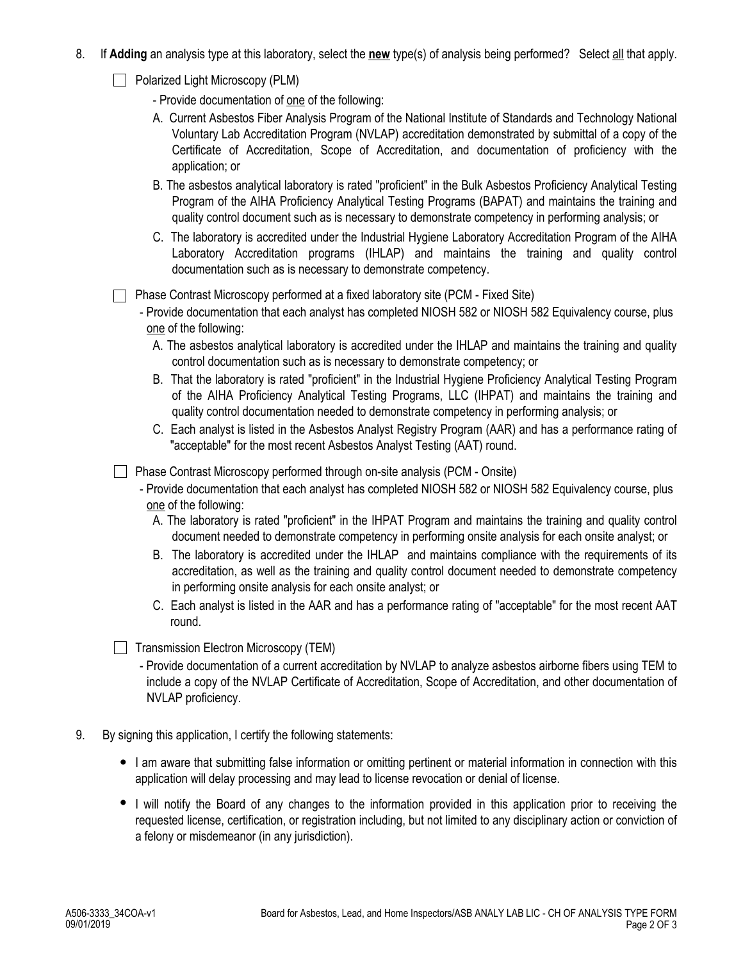- 8. If **Adding** an analysis type at this laboratory, select the **new** type(s) of analysis being performed? Select all that apply.
	- **Polarized Light Microscopy (PLM)**

- Provide documentation of one of the following:

- A. Current Asbestos Fiber Analysis Program of the National Institute of Standards and Technology National Voluntary Lab Accreditation Program (NVLAP) accreditation demonstrated by submittal of a copy of the Certificate of Accreditation, Scope of Accreditation, and documentation of proficiency with the application; or
- B. The asbestos analytical laboratory is rated "proficient" in the Bulk Asbestos Proficiency Analytical Testing Program of the AIHA Proficiency Analytical Testing Programs (BAPAT) and maintains the training and quality control document such as is necessary to demonstrate competency in performing analysis; or
- C. The laboratory is accredited under the Industrial Hygiene Laboratory Accreditation Program of the AIHA Laboratory Accreditation programs (IHLAP) and maintains the training and quality control documentation such as is necessary to demonstrate competency.

Phase Contrast Microscopy performed at a fixed laboratory site (PCM - Fixed Site)

- Provide documentation that each analyst has completed NIOSH 582 or NIOSH 582 Equivalency course, plus one of the following:
	- A. The asbestos analytical laboratory is accredited under the IHLAP and maintains the training and quality control documentation such as is necessary to demonstrate competency; or
	- B. That the laboratory is rated "proficient" in the Industrial Hygiene Proficiency Analytical Testing Program of the AIHA Proficiency Analytical Testing Programs, LLC (IHPAT) and maintains the training and quality control documentation needed to demonstrate competency in performing analysis; or
	- C. Each analyst is listed in the Asbestos Analyst Registry Program (AAR) and has a performance rating of "acceptable" for the most recent Asbestos Analyst Testing (AAT) round.

Phase Contrast Microscopy performed through on-site analysis (PCM - Onsite)

- Provide documentation that each analyst has completed NIOSH 582 or NIOSH 582 Equivalency course, plus one of the following:
	- A. The laboratory is rated "proficient" in the IHPAT Program and maintains the training and quality control document needed to demonstrate competency in performing onsite analysis for each onsite analyst; or
	- B. The laboratory is accredited under the IHLAP and maintains compliance with the requirements of its accreditation, as well as the training and quality control document needed to demonstrate competency in performing onsite analysis for each onsite analyst; or
	- C. Each analyst is listed in the AAR and has a performance rating of "acceptable" for the most recent AAT round.

 $\Box$  Transmission Electron Microscopy (TEM)

- Provide documentation of a current accreditation by NVLAP to analyze asbestos airborne fibers using TEM to include a copy of the NVLAP Certificate of Accreditation, Scope of Accreditation, and other documentation of NVLAP proficiency.
- 9. By signing this application, I certify the following statements:
	- I am aware that submitting false information or omitting pertinent or material information in connection with this application will delay processing and may lead to license revocation or denial of license.
	- I will notify the Board of any changes to the information provided in this application prior to receiving the requested license, certification, or registration including, but not limited to any disciplinary action or conviction of a felony or misdemeanor (in any jurisdiction).